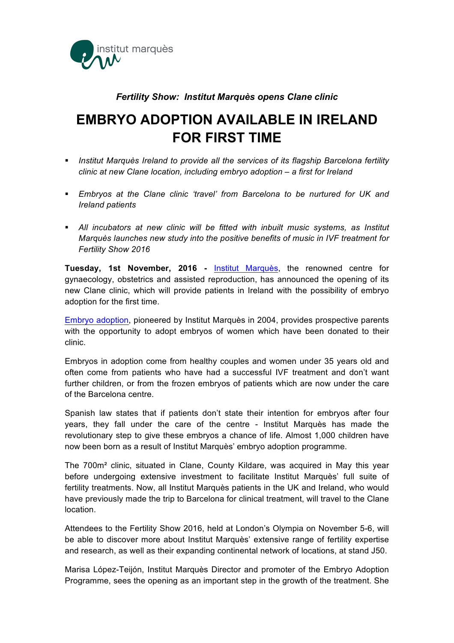

## *Fertility Show: Institut Marquès opens Clane clinic*

## **EMBRYO ADOPTION AVAILABLE IN IRELAND FOR FIRST TIME**

- § *Institut Marquès Ireland to provide all the services of its flagship Barcelona fertility clinic at new Clane location, including embryo adoption – a first for Ireland*
- § *Embryos at the Clane clinic 'travel' from Barcelona to be nurtured for UK and Ireland patients*
- § *All incubators at new clinic will be fitted with inbuilt music systems, as Institut Marquès launches new study into the positive benefits of music in IVF treatment for Fertility Show 2016*

**Tuesday, 1st November, 2016 -** Institut Marquès, the renowned centre for gynaecology, obstetrics and assisted reproduction, has announced the opening of its new Clane clinic, which will provide patients in Ireland with the possibility of embryo adoption for the first time.

Embryo adoption, pioneered by Institut Marquès in 2004, provides prospective parents with the opportunity to adopt embryos of women which have been donated to their clinic.

Embryos in adoption come from healthy couples and women under 35 years old and often come from patients who have had a successful IVF treatment and don't want further children, or from the frozen embryos of patients which are now under the care of the Barcelona centre.

Spanish law states that if patients don't state their intention for embryos after four years, they fall under the care of the centre - Institut Marquès has made the revolutionary step to give these embryos a chance of life. Almost 1,000 children have now been born as a result of Institut Marquès' embryo adoption programme.

The 700m² clinic, situated in Clane, County Kildare, was acquired in May this year before undergoing extensive investment to facilitate Institut Marquès' full suite of fertility treatments. Now, all Institut Marquès patients in the UK and Ireland, who would have previously made the trip to Barcelona for clinical treatment, will travel to the Clane location.

Attendees to the Fertility Show 2016, held at London's Olympia on November 5-6, will be able to discover more about Institut Marquès' extensive range of fertility expertise and research, as well as their expanding continental network of locations, at stand J50.

Marisa López-Teijón, Institut Marquès Director and promoter of the Embryo Adoption Programme, sees the opening as an important step in the growth of the treatment. She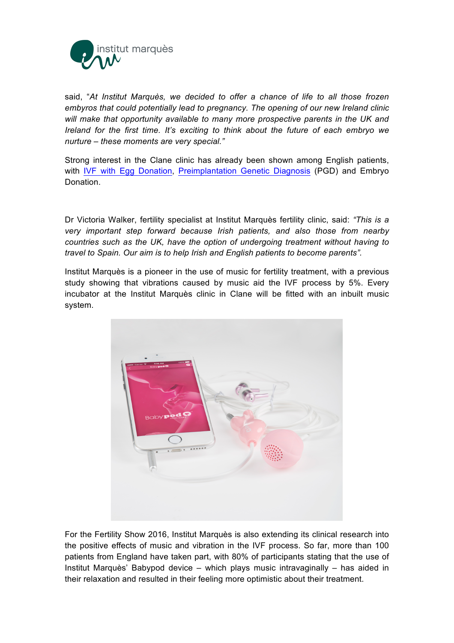

said, "*At Institut Marquès, we decided to offer a chance of life to all those frozen embyros that could potentially lead to pregnancy. The opening of our new Ireland clinic*  will make that opportunity available to many more prospective parents in the UK and *Ireland for the first time. It's exciting to think about the future of each embryo we nurture – these moments are very special."*

Strong interest in the Clane clinic has already been shown among English patients, with IVF with Egg Donation, Preimplantation Genetic Diagnosis (PGD) and Embryo Donation.

Dr Victoria Walker, fertility specialist at Institut Marquès fertility clinic, said: *"This is a very important step forward because Irish patients, and also those from nearby countries such as the UK, have the option of undergoing treatment without having to travel to Spain. Our aim is to help Irish and English patients to become parents".*

Institut Marquès is a pioneer in the use of music for fertility treatment, with a previous study showing that vibrations caused by music aid the IVF process by 5%. Every incubator at the Institut Marquès clinic in Clane will be fitted with an inbuilt music system.



For the Fertility Show 2016, Institut Marquès is also extending its clinical research into the positive effects of music and vibration in the IVF process. So far, more than 100 patients from England have taken part, with 80% of participants stating that the use of Institut Marquès' Babypod device – which plays music intravaginally – has aided in their relaxation and resulted in their feeling more optimistic about their treatment.